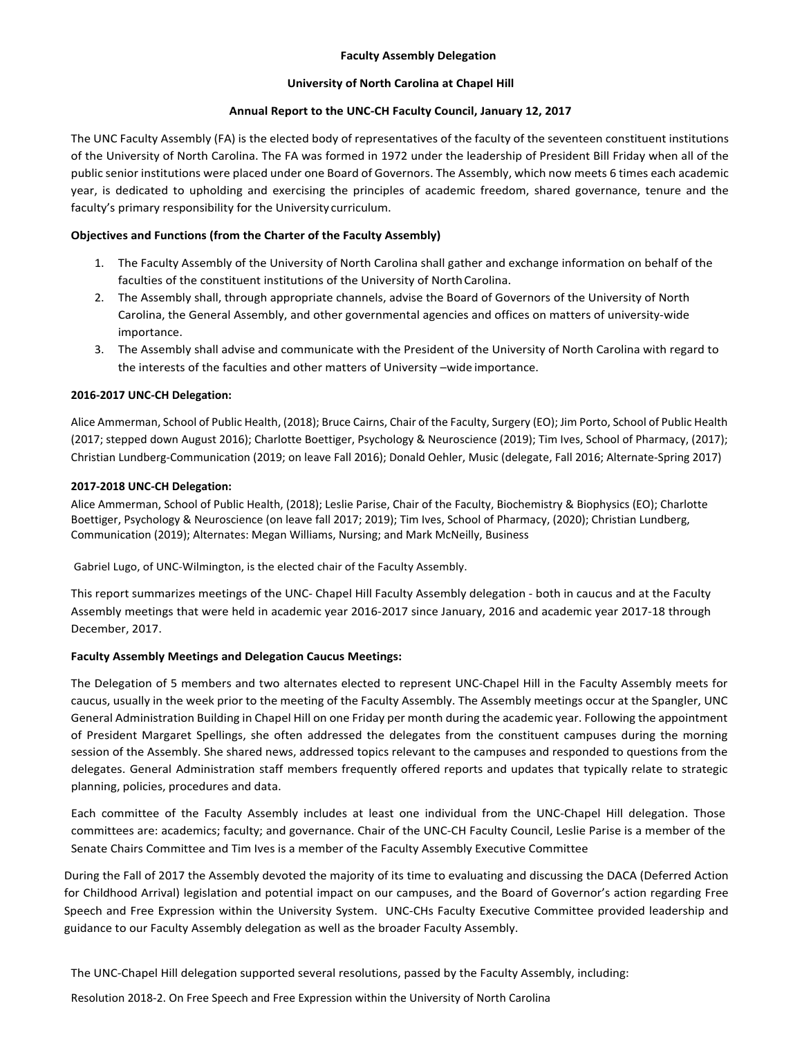## **Faculty Assembly Delegation**

#### **University of North Carolina at Chapel Hill**

## **Annual Report to the UNC-CH Faculty Council, January 12, 2017**

The UNC Faculty Assembly (FA) is the elected body of representatives of the faculty of the seventeen constituent institutions of the University of North Carolina. The FA was formed in 1972 under the leadership of President Bill Friday when all of the public senior institutions were placed under one Board of Governors. The Assembly, which now meets 6 times each academic year, is dedicated to upholding and exercising the principles of academic freedom, shared governance, tenure and the faculty's primary responsibility for the University curriculum.

# **Objectives and Functions (from the Charter of the Faculty Assembly)**

- 1. The Faculty Assembly of the University of North Carolina shall gather and exchange information on behalf of the faculties of the constituent institutions of the University of North Carolina.
- 2. The Assembly shall, through appropriate channels, advise the Board of Governors of the University of North Carolina, the General Assembly, and other governmental agencies and offices on matters of university-wide importance.
- 3. The Assembly shall advise and communicate with the President of the University of North Carolina with regard to the interests of the faculties and other matters of University –wide importance.

## **2016-2017 UNC-CH Delegation:**

Alice Ammerman, School of Public Health, (2018); Bruce Cairns, Chair of the Faculty, Surgery (EO); Jim Porto, School of Public Health (2017; stepped down August 2016); Charlotte Boettiger, Psychology & Neuroscience (2019); Tim Ives, School of Pharmacy, (2017); Christian Lundberg-Communication (2019; on leave Fall 2016); Donald Oehler, Music (delegate, Fall 2016; Alternate-Spring 2017)

## **2017-2018 UNC-CH Delegation:**

Alice Ammerman, School of Public Health, (2018); Leslie Parise, Chair of the Faculty, Biochemistry & Biophysics (EO); Charlotte Boettiger, Psychology & Neuroscience (on leave fall 2017; 2019); Tim Ives, School of Pharmacy, (2020); Christian Lundberg, Communication (2019); Alternates: Megan Williams, Nursing; and Mark McNeilly, Business

Gabriel Lugo, of UNC-Wilmington, is the elected chair of the Faculty Assembly.

This report summarizes meetings of the UNC- Chapel Hill Faculty Assembly delegation - both in caucus and at the Faculty Assembly meetings that were held in academic year 2016-2017 since January, 2016 and academic year 2017-18 through December, 2017.

#### **Faculty Assembly Meetings and Delegation Caucus Meetings:**

The Delegation of 5 members and two alternates elected to represent UNC-Chapel Hill in the Faculty Assembly meets for caucus, usually in the week prior to the meeting of the Faculty Assembly. The Assembly meetings occur at the Spangler, UNC General Administration Building in Chapel Hill on one Friday per month during the academic year. Following the appointment of President Margaret Spellings, she often addressed the delegates from the constituent campuses during the morning session of the Assembly. She shared news, addressed topics relevant to the campuses and responded to questions from the delegates. General Administration staff members frequently offered reports and updates that typically relate to strategic planning, policies, procedures and data.

Each committee of the Faculty Assembly includes at least one individual from the UNC-Chapel Hill delegation. Those committees are: academics; faculty; and governance. Chair of the UNC-CH Faculty Council, Leslie Parise is a member of the Senate Chairs Committee and Tim Ives is a member of the Faculty Assembly Executive Committee

During the Fall of 2017 the Assembly devoted the majority of its time to evaluating and discussing the DACA (Deferred Action for Childhood Arrival) legislation and potential impact on our campuses, and the Board of Governor's action regarding Free Speech and Free Expression within the University System. UNC-CHs Faculty Executive Committee provided leadership and guidance to our Faculty Assembly delegation as well as the broader Faculty Assembly.

The UNC-Chapel Hill delegation supported several resolutions, passed by the Faculty Assembly, including:

Resolution 2018-2. On Free Speech and Free Expression within the University of North Carolina